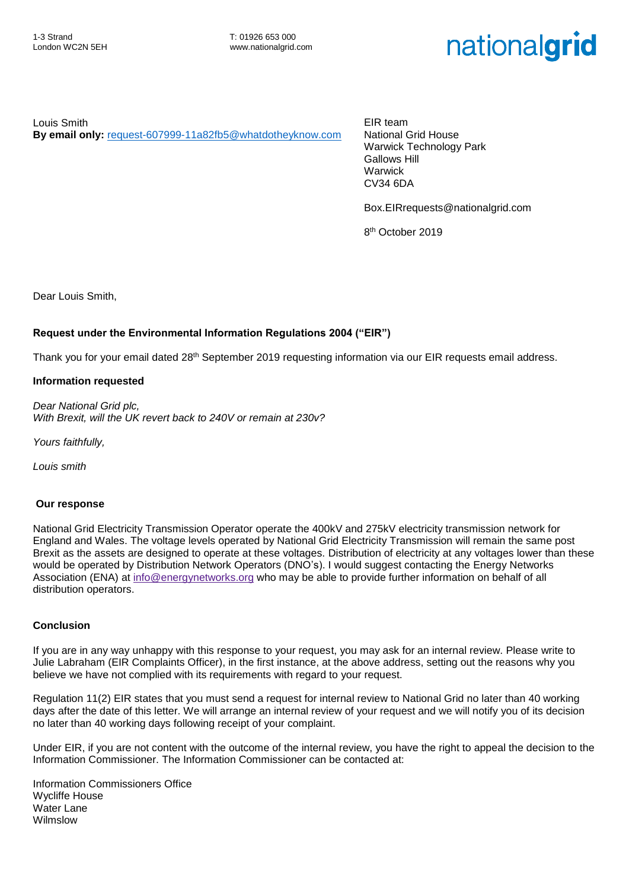# nationalgrid

Louis Smith **By email only:** [request-607999-11a82fb5@whatdotheyknow.com](mailto:xxxxxxxxxxxxxxxxxxxxxxx@xxxxxxxxxxxxxx.xxx) EIR team National Grid House Warwick Technology Park Gallows Hill Warwick CV34 6DA

Box.EIRrequests@nationalgrid.com

8 th October 2019

Dear Louis Smith,

### **Request under the Environmental Information Regulations 2004 ("EIR")**

Thank you for your email dated 28<sup>th</sup> September 2019 requesting information via our EIR requests email address.

#### **Information requested**

*Dear National Grid plc, With Brexit, will the UK revert back to 240V or remain at 230v?*

*Yours faithfully,*

*Louis smith*

#### **Our response**

National Grid Electricity Transmission Operator operate the 400kV and 275kV electricity transmission network for England and Wales. The voltage levels operated by National Grid Electricity Transmission will remain the same post Brexit as the assets are designed to operate at these voltages. Distribution of electricity at any voltages lower than these would be operated by Distribution Network Operators (DNO's). I would suggest contacting the Energy Networks Association (ENA) at [info@energynetworks.org](mail:xxxx@xxxxxxxxxxxxxx.xxx) who may be able to provide further information on behalf of all distribution operators.

#### **Conclusion**

If you are in any way unhappy with this response to your request, you may ask for an internal review. Please write to Julie Labraham (EIR Complaints Officer), in the first instance, at the above address, setting out the reasons why you believe we have not complied with its requirements with regard to your request.

Regulation 11(2) EIR states that you must send a request for internal review to National Grid no later than 40 working days after the date of this letter. We will arrange an internal review of your request and we will notify you of its decision no later than 40 working days following receipt of your complaint.

Under EIR, if you are not content with the outcome of the internal review, you have the right to appeal the decision to the Information Commissioner. The Information Commissioner can be contacted at:

Information Commissioners Office Wycliffe House Water Lane Wilmslow